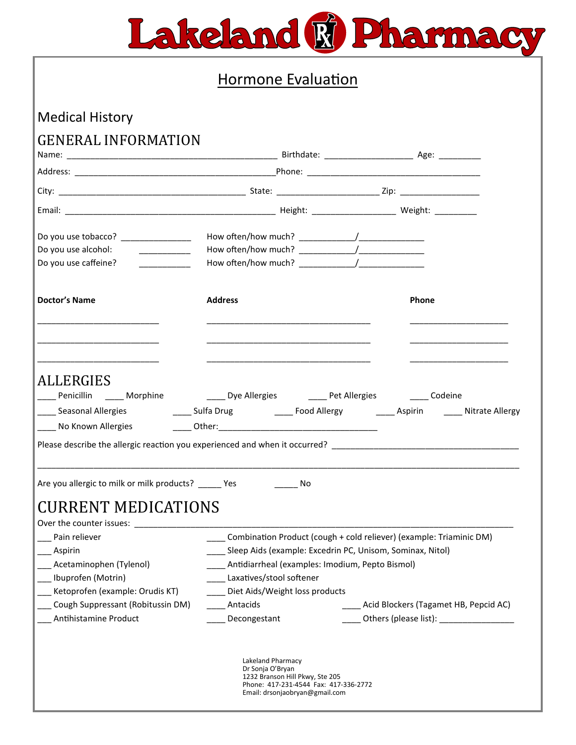

# Hormone Evaluation

## Medical History

# GENERAL INFORMATION

| Name:                                                                                                                                                                          |                                                      |                                                                                                            |                                                                                                                                                                                                                              |
|--------------------------------------------------------------------------------------------------------------------------------------------------------------------------------|------------------------------------------------------|------------------------------------------------------------------------------------------------------------|------------------------------------------------------------------------------------------------------------------------------------------------------------------------------------------------------------------------------|
|                                                                                                                                                                                |                                                      |                                                                                                            |                                                                                                                                                                                                                              |
|                                                                                                                                                                                |                                                      |                                                                                                            |                                                                                                                                                                                                                              |
|                                                                                                                                                                                |                                                      |                                                                                                            |                                                                                                                                                                                                                              |
| Do you use tobacco? _____________                                                                                                                                              |                                                      |                                                                                                            |                                                                                                                                                                                                                              |
| Do you use alcohol:                                                                                                                                                            |                                                      |                                                                                                            |                                                                                                                                                                                                                              |
| Do you use caffeine?                                                                                                                                                           |                                                      |                                                                                                            |                                                                                                                                                                                                                              |
| <b>Doctor's Name</b>                                                                                                                                                           | <b>Address</b>                                       |                                                                                                            | <b>Phone</b>                                                                                                                                                                                                                 |
|                                                                                                                                                                                |                                                      |                                                                                                            |                                                                                                                                                                                                                              |
| <b>ALLERGIES</b><br>Penicillin ______ Morphine                                                                                                                                 |                                                      |                                                                                                            | Dye Allergies The Pet Allergies Codeine                                                                                                                                                                                      |
|                                                                                                                                                                                |                                                      |                                                                                                            | Please describe the allergic reaction you experienced and when it occurred?                                                                                                                                                  |
| Are you allergic to milk or milk products? ______ Yes                                                                                                                          |                                                      | a No                                                                                                       |                                                                                                                                                                                                                              |
| CURRENT MEDICATIONS                                                                                                                                                            |                                                      |                                                                                                            |                                                                                                                                                                                                                              |
| Pain reliever<br>Aspirin<br>___ Acetaminophen (Tylenol)<br>Ibuprofen (Motrin)<br>Ketoprofen (example: Orudis KT)<br>Cough Suppressant (Robitussin DM)<br>Antihistamine Product | Laxatives/stool softener<br>Antacids<br>Decongestant | Diet Aids/Weight loss products                                                                             | Combination Product (cough + cold reliever) (example: Triaminic DM)<br>Sleep Aids (example: Excedrin PC, Unisom, Sominax, Nitol)<br>Antidiarrheal (examples: Imodium, Pepto Bismol)<br>Acid Blockers (Tagamet HB, Pepcid AC) |
|                                                                                                                                                                                | Lakeland Pharmacy<br>Dr Sonja O'Bryan                | 1232 Branson Hill Pkwy, Ste 205<br>Phone: 417-231-4544 Fax: 417-336-2772<br>Email: drsonjaobryan@gmail.com |                                                                                                                                                                                                                              |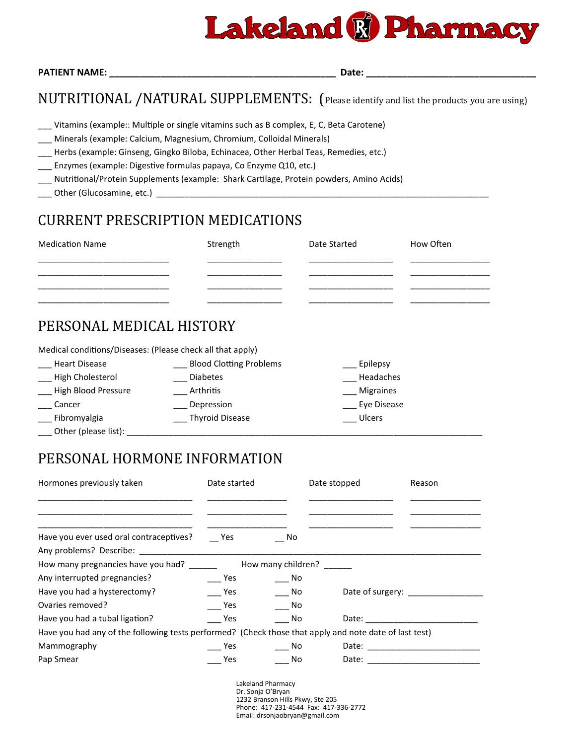

|  | <b>PATIENT NAME:</b> |
|--|----------------------|
|  |                      |

**PATIENT NAME: \_\_\_\_\_\_\_\_\_\_\_\_\_\_\_\_\_\_\_\_\_\_\_\_\_\_\_\_\_\_\_\_\_\_\_\_\_\_\_\_\_\_\_\_ Date: \_\_\_\_\_\_\_\_\_\_\_\_\_\_\_\_\_\_\_\_\_\_\_\_\_\_\_\_\_\_\_\_\_**

#### NUTRITIONAL /NATURAL SUPPLEMENTS: (Please identify and list the products you are using)

- Vitamins (example:: Multiple or single vitamins such as B complex, E, C, Beta Carotene)
- \_\_\_ Minerals (example: Calcium, Magnesium, Chromium, Colloidal Minerals)
- \_\_\_ Herbs (example: Ginseng, Gingko Biloba, Echinacea, Other Herbal Teas, Remedies, etc.)
- \_\_\_ Enzymes (example: Digestive formulas papaya, Co Enzyme Q10, etc.)
- \_\_\_ Nutritional/Protein Supplements (example: Shark Cartilage, Protein powders, Amino Acids)
- Other (Glucosamine, etc.)

## CURRENT PRESCRIPTION MEDICATIONS

| <b>Medication Name</b> | Strength | Date Started | How Often |
|------------------------|----------|--------------|-----------|
|                        |          |              |           |
|                        |          |              |           |
|                        |          |              |           |

#### PERSONAL MEDICAL HISTORY

Medical conditions/Diseases: (Please check all that apply)

| <b>Heart Disease</b> | <b>Blood Clotting Problems</b> | Epilepsy         |
|----------------------|--------------------------------|------------------|
| High Cholesterol     | <b>Diabetes</b>                | Headaches        |
| High Blood Pressure  | Arthritis                      | <b>Migraines</b> |
| Cancer               | Depression                     | Eye Disease      |
| Fibromyalgia         | <b>Thyroid Disease</b>         | Ulcers           |
| Other (please list): |                                |                  |

## PERSONAL HORMONE INFORMATION

| Hormones previously taken                                                                              | Date started |                    | Date stopped | Reason                                                                                                                                                                                                                         |
|--------------------------------------------------------------------------------------------------------|--------------|--------------------|--------------|--------------------------------------------------------------------------------------------------------------------------------------------------------------------------------------------------------------------------------|
| Have you ever used oral contraceptives?                                                                | <b>Pres</b>  | - No               |              |                                                                                                                                                                                                                                |
| How many pregnancies have you had? ______                                                              |              | How many children? |              |                                                                                                                                                                                                                                |
| Any interrupted pregnancies?                                                                           | Yes          | - No               |              |                                                                                                                                                                                                                                |
| Have you had a hysterectomy?                                                                           | Yes          | No No              |              | Date of surgery:                                                                                                                                                                                                               |
| Ovaries removed?                                                                                       | <b>Pres</b>  | No.                |              |                                                                                                                                                                                                                                |
| Have you had a tubal ligation?                                                                         | Yes          | No.                |              | Date: the contract of the contract of the contract of the contract of the contract of the contract of the contract of the contract of the contract of the contract of the contract of the contract of the contract of the cont |
| Have you had any of the following tests performed? (Check those that apply and note date of last test) |              |                    |              |                                                                                                                                                                                                                                |
| Mammography                                                                                            | Yes          | No.                |              |                                                                                                                                                                                                                                |
| Pap Smear                                                                                              | Yes          | No.                |              | Date: _________________________                                                                                                                                                                                                |

Lakeland Pharmacy Dr. Sonja O'Bryan 1232 Branson Hills Pkwy, Ste 205 Phone: 417-231-4544 Fax: 417-336-2772 Email: drsonjaobryan@gmail.com